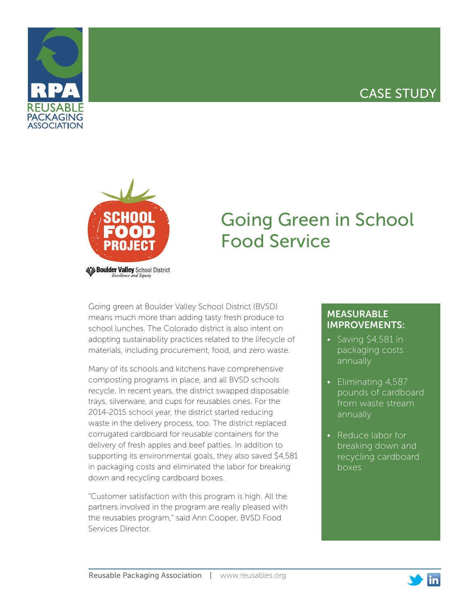# CASE STUDY





# Going Green in School Food Service

Going green at Boulder Valley School District (BVSD) means much more than adding tasty fresh produce to school lunches. The Colorado district is also intent on adopting sustainability practices related to the lifecycle of materials, including procurement, food, and zero waste.

Many of its schools and kitchens have comprehensive composting programs in place, and all BVSD schools recycle. In recent years, the district swapped disposable trays, silverware, and cups for reusables ones. For the 2014-2015 school year, the district started reducing waste in the delivery process, too. The district replaced corrugated cardboard for reusable containers for the delivery of fresh apples and beef patties. In addition to supporting its environmental goals, they also saved \$4,581 in packaging costs and eliminated the labor for breaking down and recycling cardboard boxes.

"Customer satisfaction with this program is high. All the partners involved in the program are really pleased with the reusables program," said Ann Cooper, BVSD Food Services Director.

## MEASURABLE IMPROVEMENTS:

- Saving \$4,581 in packaging costs annually
- Eliminating 4,587 pounds of cardboard from waste stream annually
- Reduce labor for breaking down and recycling cardboard boxes

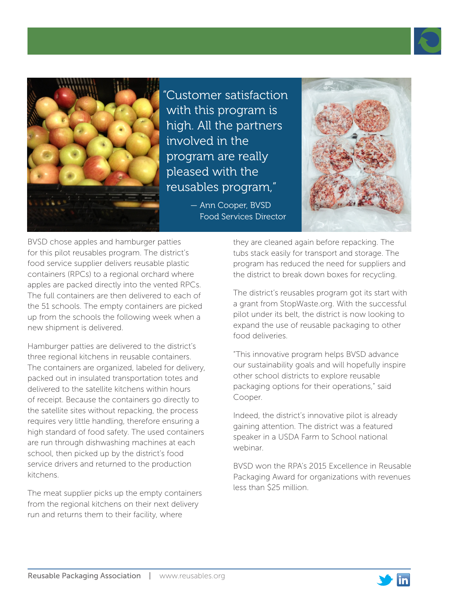



"Customer satisfaction with this program is high. All the partners involved in the program are really pleased with the reusables program,"

> — Ann Cooper, BVSD Food Services Director



BVSD chose apples and hamburger patties for this pilot reusables program. The district's food service supplier delivers reusable plastic containers (RPCs) to a regional orchard where apples are packed directly into the vented RPCs. The full containers are then delivered to each of the 51 schools. The empty containers are picked up from the schools the following week when a new shipment is delivered.

Hamburger patties are delivered to the district's three regional kitchens in reusable containers. The containers are organized, labeled for delivery, packed out in insulated transportation totes and delivered to the satellite kitchens within hours of receipt. Because the containers go directly to the satellite sites without repacking, the process requires very little handling, therefore ensuring a high standard of food safety. The used containers are run through dishwashing machines at each school, then picked up by the district's food service drivers and returned to the production kitchens.

The meat supplier picks up the empty containers from the regional kitchens on their next delivery run and returns them to their facility, where

they are cleaned again before repacking. The tubs stack easily for transport and storage. The program has reduced the need for suppliers and the district to break down boxes for recycling.

The district's reusables program got its start with a grant from StopWaste.org. With the successful pilot under its belt, the district is now looking to expand the use of reusable packaging to other food deliveries.

"This innovative program helps BVSD advance our sustainability goals and will hopefully inspire other school districts to explore reusable packaging options for their operations," said Cooper.

Indeed, the district's innovative pilot is already gaining attention. The district was a featured speaker in a USDA Farm to School national webinar.

BVSD won the RPA's 2015 Excellence in Reusable Packaging Award for organizations with revenues less than \$25 million.